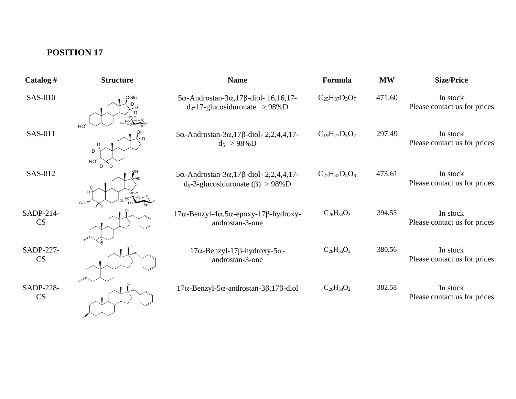## **POSITION 17**

| Catalog #              | <b>Structure</b>                                  | <b>Name</b>                                                                                                        | Formula              | <b>MW</b> | <b>Size/Price</b>                        |
|------------------------|---------------------------------------------------|--------------------------------------------------------------------------------------------------------------------|----------------------|-----------|------------------------------------------|
| <b>SAS-010</b>         | OGlu                                              | $5\alpha$ -Androstan- $3\alpha$ , 17 $\beta$ -diol- 16, 16, 17-<br>$d_3$ -17-glucosiduronate > 98%D                | $C_{25}H_{37}D_3O_7$ | 471.60    | In stock<br>Please contact us for prices |
| SAS-011                | HO <sup>'</sup><br>חי<br>$D^-$<br>HO <sub>2</sub> | $5\alpha$ -Androstan- $3\alpha$ , 17 $\beta$ -diol- 2, 2, 4, 4, 17-<br>$d_5 > 98\%$ D                              | $C_{19}H_{27}D_5O_2$ | 297.49    | In stock<br>Please contact us for prices |
| SAS-012                | GluO <sup>N</sup>                                 | $5\alpha$ -Androstan- $3\alpha$ , 17 $\beta$ -diol- 2, 2, 4, 4, 17-<br>$d_5$ -3-glucosiduronate ( $\beta$ ) > 98%D | $C_{25}H_{35}D_5O_8$ | 473.61    | In stock<br>Please contact us for prices |
| SADP-214-<br><b>CS</b> |                                                   | $17\alpha$ -Benzyl-4α,5α-epoxy-17β-hydroxy-<br>androstan-3-one                                                     | $C_{26}H_{34}O_3$    | 394.55    | In stock<br>Please contact us for prices |
| SADP-227-<br>CS        |                                                   | $17\alpha$ -Benzyl-17 $\beta$ -hydroxy-5 $\alpha$ -<br>androstan-3-one                                             | $C_{26}H_{36}O_2$    | 380.56    | In stock<br>Please contact us for prices |
| <b>SADP-228-</b><br>CS |                                                   | $17\alpha$ -Benzyl-5 $\alpha$ -androstan-3 $\beta$ ,17 $\beta$ -diol                                               | $C_{26}H_{38}O_2$    | 382.58    | In stock<br>Please contact us for prices |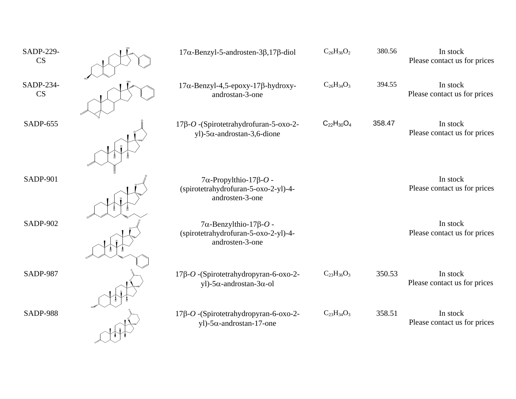| SADP-229-<br>CS | $17\alpha$ -Benzyl-5-androsten-3 $\beta$ ,17 $\beta$ -diol                                       | $C_{26}H_{36}O_2$ | 380.56 | In stock<br>Please contact us for prices |
|-----------------|--------------------------------------------------------------------------------------------------|-------------------|--------|------------------------------------------|
| SADP-234-<br>CS | $17\alpha$ -Benzyl-4,5-epoxy-17 $\beta$ -hydroxy-<br>androstan-3-one                             | $C_{26}H_{34}O_3$ | 394.55 | In stock<br>Please contact us for prices |
| SADP-655        | 17β-O - (Spirotetrahydrofuran-5-oxo-2-<br>yl)-5 $\alpha$ -androstan-3,6-dione                    | $C_{22}H_{30}O_4$ | 358.47 | In stock<br>Please contact us for prices |
| <b>SADP-901</b> | $7\alpha$ -Propylthio-17 $\beta$ -O -<br>(spirotetrahydrofuran-5-oxo-2-yl)-4-<br>androsten-3-one |                   |        | In stock<br>Please contact us for prices |
| <b>SADP-902</b> | $7\alpha$ -Benzylthio-17 $\beta$ -O -<br>(spirotetrahydrofuran-5-oxo-2-yl)-4-<br>androsten-3-one |                   |        | In stock<br>Please contact us for prices |
| <b>SADP-987</b> | 17β-O - (Spirotetrahydropyran-6-oxo-2-<br>yl)-5 $\alpha$ -androstan-3 $\alpha$ -ol               | $C_{23}H_{36}O_3$ | 350.53 | In stock<br>Please contact us for prices |
| <b>SADP-988</b> | 17β-O - (Spirotetrahydropyran-6-oxo-2-<br>yl)- $5\alpha$ -androstan-17-one                       | $C_{23}H_{34}O_3$ | 358.51 | In stock<br>Please contact us for prices |

 $\lambda$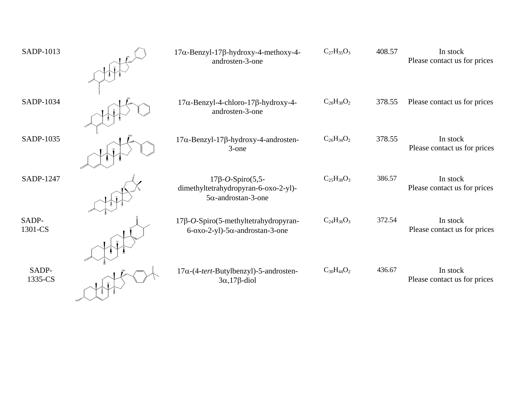| SADP-1013        | 17α-Benzyl-17β-hydroxy-4-methoxy-4-<br>androsten-3-one                                        | $C_{27}H_{35}O_3$ | 408.57 | In stock<br>Please contact us for prices |
|------------------|-----------------------------------------------------------------------------------------------|-------------------|--------|------------------------------------------|
| SADP-1034        | $17\alpha$ -Benzyl-4-chloro-17 $\beta$ -hydroxy-4-<br>androsten-3-one                         | $C_{28}H_{38}O_2$ | 378.55 | Please contact us for prices             |
| SADP-1035        | $17\alpha$ -Benzyl-17 $\beta$ -hydroxy-4-androsten-<br>3-one                                  | $C_{26}H_{34}O_2$ | 378.55 | In stock<br>Please contact us for prices |
| SADP-1247        | $17\beta$ -O-Spiro(5,5-<br>dimethyltetrahydropyran-6-oxo-2-yl)-<br>$5\alpha$ -androstan-3-one | $C_{25}H_{38}O_3$ | 386.57 | In stock<br>Please contact us for prices |
| SADP-<br>1301-CS | 17β-O-Spiro(5-methyltetrahydropyran-<br>$6-\alpha$ xo-2-yl)-5 $\alpha$ -androstan-3-one       | $C_{24}H_{36}O_3$ | 372.54 | In stock<br>Please contact us for prices |
| SADP-<br>1335-CS | $17\alpha$ -(4-tert-Butylbenzyl)-5-androsten-<br>$3\alpha$ , 17 $\beta$ -diol                 | $C_{30}H_{44}O_2$ | 436.67 | In stock<br>Please contact us for prices |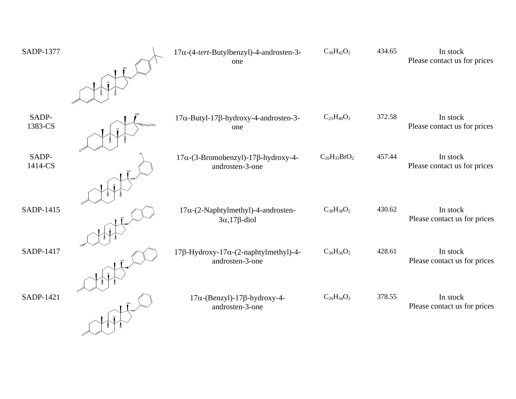| <b>SADP-1377</b> |            | $17\alpha$ -(4-tert-Butylbenzyl)-4-androsten-3-<br>one                         | $C_{30}H_{42}O_2$   | 434.65 | In stock<br>Please contact us for prices |
|------------------|------------|--------------------------------------------------------------------------------|---------------------|--------|------------------------------------------|
| SADP-<br>1383-CS | $CH2)5CH2$ | $17\alpha$ -Butyl-17 $\beta$ -hydroxy-4-androsten-3-<br>one                    | $C_{25}H_{40}O_2$   | 372.58 | In stock<br>Please contact us for prices |
| SADP-<br>1414-CS |            | $17\alpha$ -(3-Bromobenzyl)-17 $\beta$ -hydroxy-4-<br>androsten-3-one          | $C_{26}H_{33}BrO_2$ | 457.44 | In stock<br>Please contact us for prices |
| SADP-1415        |            | $17\alpha$ - $(2$ -Naphtylmethyl)-4-androsten-<br>$3\alpha$ , 17 $\beta$ -diol | $C_{30}H_{38}O_2$   | 430.62 | In stock<br>Please contact us for prices |
| <b>SADP-1417</b> |            | $17\beta$ -Hydroxy-17 $\alpha$ -(2-naphtylmethyl)-4-<br>androsten-3-one        | $C_{30}H_{36}O_2$   | 428.61 | In stock<br>Please contact us for prices |
| SADP-1421        |            | $17\alpha$ -(Benzyl)-17 $\beta$ -hydroxy-4-<br>androsten-3-one                 | $C_{26}H_{34}O_2$   | 378.55 | In stock<br>Please contact us for prices |

O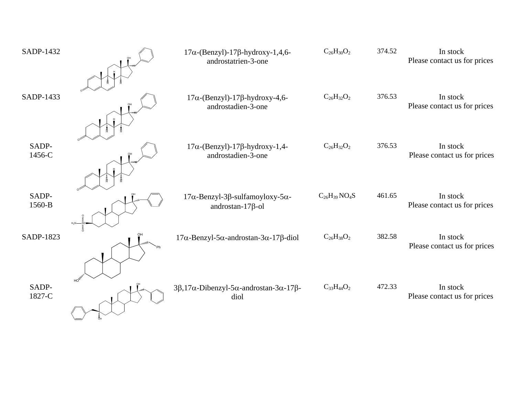| SADP-1432       | $17\alpha$ -(Benzyl)-17 $\beta$ -hydroxy-1,4,6-<br>androstatrien-3-one                  | $C_{26}H_{30}O_2$   | 374.52 | In stock<br>Please contact us for prices |
|-----------------|-----------------------------------------------------------------------------------------|---------------------|--------|------------------------------------------|
| SADP-1433       | $17\alpha$ -(Benzyl)-17 $\beta$ -hydroxy-4,6-<br>androstadien-3-one                     | $C_{26}H_{32}O_2$   | 376.53 | In stock<br>Please contact us for prices |
| SADP-<br>1456-C | $17\alpha$ -(Benzyl)-17 $\beta$ -hydroxy-1,4-<br>androstadien-3-one                     | $C_{26}H_{32}O_2$   | 376.53 | In stock<br>Please contact us for prices |
| SADP-<br>1560-B | $17\alpha$ -Benzyl-3 $\beta$ -sulfamoyloxy-5 $\alpha$ -<br>androstan- $17\beta$ -ol     | $C_{26}H_{39}NO_4S$ | 461.65 | In stock<br>Please contact us for prices |
| SADP-1823       | $17\alpha$ -Benzyl-5 $\alpha$ -androstan-3 $\alpha$ -17 $\beta$ -diol                   | $C_{26}H_{38}O_2$   | 382.58 | In stock<br>Please contact us for prices |
| SADP-<br>1827-C | $3\beta$ , 17 $\alpha$ -Dibenzyl-5 $\alpha$ -androstan-3 $\alpha$ -17 $\beta$ -<br>diol | $C_{33}H_{44}O_2$   | 472.33 | In stock<br>Please contact us for prices |

OH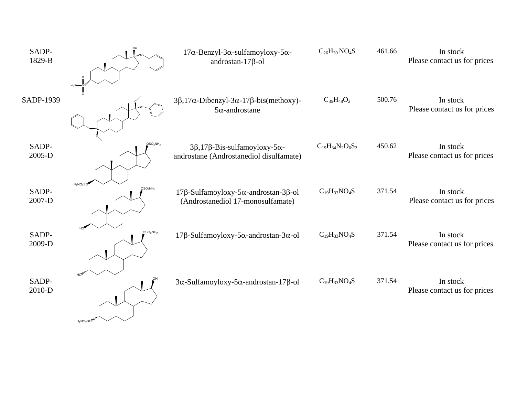|                                                 | $17\alpha$ -Benzyl-3 $\alpha$ -sulfamoyloxy-5 $\alpha$ -<br>androstan- $17\beta$ -ol            | $C_{26}H_{39}NO_4S$     | 461.66 | In stock<br>Please contact us for prices |
|-------------------------------------------------|-------------------------------------------------------------------------------------------------|-------------------------|--------|------------------------------------------|
| $H_2N$                                          | $3\beta$ , 17 $\alpha$ -Dibenzyl- $3\alpha$ -17 $\beta$ -bis(methoxy)-<br>$5\alpha$ -androstane | $C_{35}H_{48}O_2$       | 500.76 | In stock<br>Please contact us for prices |
| OSO <sub>2</sub> NH <sub>2</sub>                | $3\beta$ , 17 $\beta$ -Bis-sulfamoyloxy-5 $\alpha$ -<br>androstane (Androstanediol disulfamate) | $C_{19}H_{34}N_2O_6S_2$ | 450.62 | In stock<br>Please contact us for prices |
| $H_2NO_2SC$<br>OSO <sub>2</sub> NH <sub>2</sub> | 17β-Sulfamoyloxy-5α-androstan-3β-ol<br>(Androstanediol 17-monosulfamate)                        | $C_{19}H_{33}NO_4S$     | 371.54 | In stock<br>Please contact us for prices |
| OSO <sub>2</sub> NH <sub>2</sub>                | $17\beta$ -Sulfamoyloxy-5 $\alpha$ -androstan-3 $\alpha$ -ol                                    | $C_{19}H_{33}NO_4S$     | 371.54 | In stock<br>Please contact us for prices |
|                                                 | $3\alpha$ -Sulfamoyloxy-5 $\alpha$ -androstan-17 $\beta$ -ol                                    | $C_{19}H_{33}NO_4S$     | 371.54 | In stock<br>Please contact us for prices |
|                                                 | $H_2NO_2SON$                                                                                    |                         |        |                                          |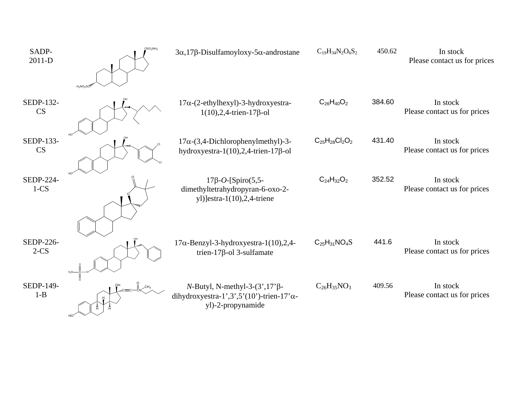| SADP-<br>2011-D            | OSO <sub>2</sub> NH <sub>2</sub><br>$H_2NO_2SC$ | $3\alpha$ , 17 $\beta$ -Disulfamoyloxy-5 $\alpha$ -androstane                                                      | $C_{19}H_{34}N_2O_6S_2$ | 450.62 | In stock<br>Please contact us for prices |
|----------------------------|-------------------------------------------------|--------------------------------------------------------------------------------------------------------------------|-------------------------|--------|------------------------------------------|
| SEDP-132-<br><b>CS</b>     |                                                 | $17\alpha$ - $(2$ -ethylhexyl)-3-hydroxyestra-<br>$1(10), 2, 4$ -trien-17 $\beta$ -ol                              | $C_{26}H_{40}O_2$       | 384.60 | In stock<br>Please contact us for prices |
| SEDP-133-<br>CS            |                                                 | $17\alpha$ -(3,4-Dichlorophenylmethyl)-3-<br>hydroxyestra-1(10), 2, 4-trien-17 $\beta$ -ol                         | $C_{25}H_{28}Cl_2O_2$   | 431.40 | In stock<br>Please contact us for prices |
| <b>SEDP-224-</b><br>$1-CS$ |                                                 | $17\beta$ -O-[Spiro(5,5-<br>dimethyltetrahydropyran-6-oxo-2-<br>yl)]estra-1 $(10)$ ,2,4-triene                     | $C_{24}H_{32}O_2$       | 352.52 | In stock<br>Please contact us for prices |
| SEDP-226-<br>$2-CS$        |                                                 | $17\alpha$ -Benzyl-3-hydroxyestra-1(10),2,4-<br>trien-17 $\beta$ -ol 3-sulfamate                                   | $C_{25}H_{31}NO_4S$     | 441.6  | In stock<br>Please contact us for prices |
| SEDP-149-<br>$1 - B$       |                                                 | $N$ -Butyl, N-methyl-3-(3',17' $\beta$ -<br>dihydroxyestra-1',3',5'(10')-trien-17' $\alpha$ -<br>yl)-2-propynamide | $C_{26}H_{35}NO_3$      | 409.56 | In stock<br>Please contact us for prices |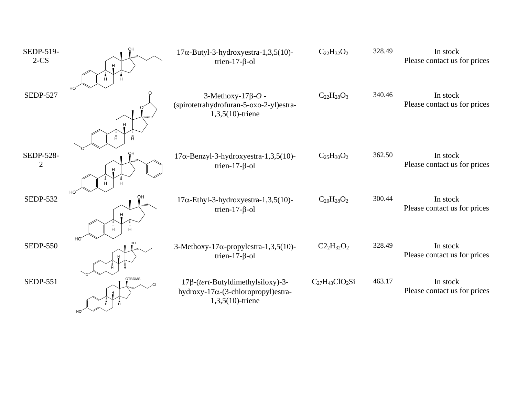| SEDP-519-<br>$2-CS$         | OH<br>Ē.                         | $17\alpha$ -Butyl-3-hydroxyestra-1,3,5(10)-<br>trien-17- $\beta$ -ol                                    | $C_{22}H_{32}O_2$     | 328.49 | In stock<br>Please contact us for prices |
|-----------------------------|----------------------------------|---------------------------------------------------------------------------------------------------------|-----------------------|--------|------------------------------------------|
| <b>SEDP-527</b>             | HO <sup>®</sup><br>Ā.<br>Ā       | $3-Methoxy-17\beta-O$ -<br>(spirotetrahydrofuran-5-oxo-2-yl)estra-<br>$1,3,5(10)$ -triene               | $C_{22}H_{28}O_3$     | 340.46 | In stock<br>Please contact us for prices |
| SEDP-528-<br>$\overline{2}$ | OН<br>Ĥ.                         | $17\alpha$ -Benzyl-3-hydroxyestra-1,3,5(10)-<br>trien-17- $\beta$ -ol                                   | $C_{25}H_{30}O_2$     | 362.50 | In stock<br>Please contact us for prices |
| <b>SEDP-532</b>             | HO <sup>'</sup><br>OН<br>Ā       | $17\alpha$ -Ethyl-3-hydroxyestra-1,3,5(10)-<br>trien-17- $\beta$ -ol                                    | $C_{20}H_{28}O_2$     | 300.44 | In stock<br>Please contact us for prices |
| <b>SEDP-550</b>             | HO <sup>-</sup>                  | 3-Methoxy-17 $\alpha$ -propylestra-1,3,5(10)-<br>trien-17- $\beta$ -ol                                  | $C2_2H_{32}O_2$       | 328.49 | In stock<br>Please contact us for prices |
| <b>SEDP-551</b>             | <b>OTBDMS</b><br>HO <sup>®</sup> | 17β-(tert-Butyldimethylsiloxy)-3-<br>hydroxy-17 $\alpha$ -(3-chloropropyl)estra-<br>$1,3,5(10)$ -triene | $C_{27}H_{43}ClO_2Si$ | 463.17 | In stock<br>Please contact us for prices |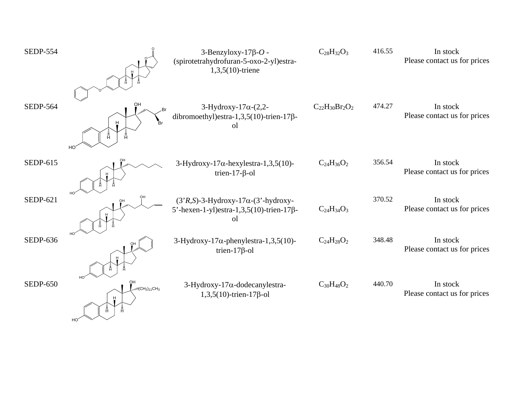| <b>SEDP-554</b> |                                                                      | $3$ -Benzyloxy-17 $\beta$ -O -<br>(spirotetrahydrofuran-5-oxo-2-yl)estra-<br>$1,3,5(10)$ -triene     | $C_{28}H_{32}O_3$     | 416.55 | In stock<br>Please contact us for prices |
|-----------------|----------------------------------------------------------------------|------------------------------------------------------------------------------------------------------|-----------------------|--------|------------------------------------------|
| <b>SEDP-564</b> | OН<br>.Br<br>-<br>Br<br>Å<br>Ā.<br>HO                                | $3-Hydroxy-17\alpha-(2,2-$<br>dibromoethyl)estra-1,3,5(10)-trien-17 $\beta$ -<br><sub>o</sub> l      | $C_{22}H_{30}Br_2O_2$ | 474.27 | In stock<br>Please contact us for prices |
| SEDP-615        |                                                                      | $3-Hydroxy-17\alpha$ -hexylestra-1,3,5(10)-<br>trien-17- $\beta$ -ol                                 | $C_{24}H_{36}O_2$     | 356.54 | In stock<br>Please contact us for prices |
| SEDP-621        |                                                                      | $(3'R,S)$ -3-Hydroxy-17 $\alpha$ - $(3'$ -hydroxy-<br>5'-hexen-1-yl)estra-1,3,5(10)-trien-17β-<br>οl | $C_{24}H_{34}O_3$     | 370.52 | In stock<br>Please contact us for prices |
| <b>SEDP-636</b> |                                                                      | 3-Hydroxy-17 $\alpha$ -phenylestra-1,3,5(10)-<br>trien- $17\beta$ -ol                                | $C_{24}H_{28}O_2$     | 348.48 | In stock<br>Please contact us for prices |
| <b>SEDP-650</b> | HO <sup>-</sup><br>OH<br>$W(CH2)11CH3$<br>Ĥ<br>Ĥ.<br>HO <sup>®</sup> | $3$ -Hydroxy-17 $\alpha$ -dodecanylestra-<br>$1,3,5(10)$ -trien-17 $\beta$ -ol                       | $C_{30}H_{48}O_2$     | 440.70 | In stock<br>Please contact us for prices |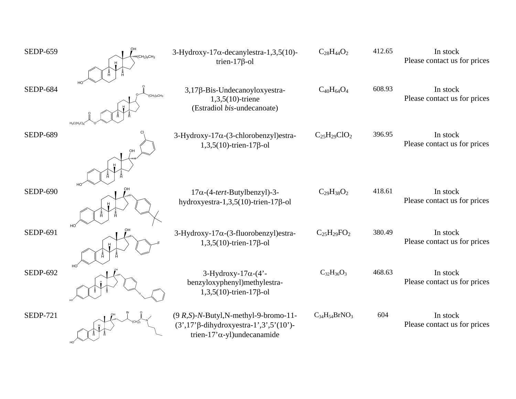| <b>SEDP-659</b> | $\sqrt{(CH_2)9}CH_3$ | $3$ -Hydroxy-17 $\alpha$ -decanylestra-1,3,5(10)-<br>trien- $17\beta$ -ol                                                          | $C_{28}H_{44}O_2$    | 412.65 | In stock<br>Please contact us for prices |
|-----------------|----------------------|------------------------------------------------------------------------------------------------------------------------------------|----------------------|--------|------------------------------------------|
| <b>SEDP-684</b> | $H_3C/H_2C$          | 3,17β-Bis-Undecanoyloxyestra-<br>$1,3,5(10)$ -triene<br>(Estradiol bis-undecanoate)                                                | $C_{40}H_{64}O_4$    | 608.93 | In stock<br>Please contact us for prices |
| <b>SEDP-689</b> |                      | 3-Hydroxy-17α-(3-chlorobenzyl)estra-<br>$1,3,5(10)$ -trien-17 $\beta$ -ol                                                          | $C_{25}H_{29}ClO_2$  | 396.95 | In stock<br>Please contact us for prices |
| <b>SEDP-690</b> |                      | $17\alpha$ -(4-tert-Butylbenzyl)-3-<br>hydroxyestra-1,3,5(10)-trien-17 $\beta$ -ol                                                 | $C_{29}H_{38}O_2$    | 418.61 | In stock<br>Please contact us for prices |
| <b>SEDP-691</b> |                      | $3-Hydroxy-17\alpha-(3-fluorobenzyl)$ estra-<br>$1,3,5(10)$ -trien-17 $\beta$ -ol                                                  | $C_{25}H_{29}FO_2$   | 380.49 | In stock<br>Please contact us for prices |
| <b>SEDP-692</b> | HO                   | $3-Hydroxy-17\alpha-(4)$ -<br>benzyloxyphenyl)methylestra-<br>$1,3,5(10)$ -trien-17 $\beta$ -ol                                    | $C_{32}H_{36}O_3$    | 468.63 | In stock<br>Please contact us for prices |
| <b>SEDP-721</b> |                      | $(9 R, S)$ -N-Butyl, N-methyl-9-bromo-11-<br>$(3', 17'\beta$ -dihydroxyestra-1',3',5'(10')-<br>trien-17' $\alpha$ -yl)undecanamide | $C_{34}H_{54}BrNO_3$ | 604    | In stock<br>Please contact us for prices |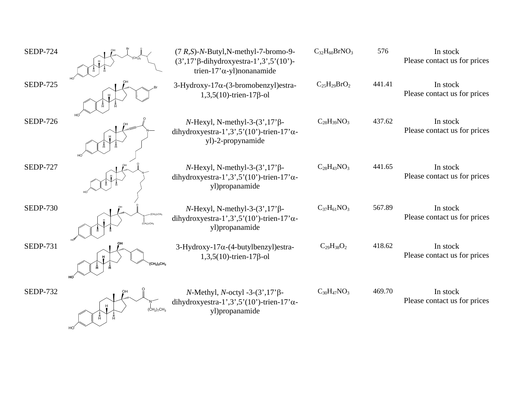| <b>SEDP-724</b> |                   | $(7 R,S)$ -N-Butyl, N-methyl-7-bromo-9-<br>$(3',17'\beta$ -dihydroxyestra-1',3',5'(10')-<br>trien-17' $\alpha$ -yl)nonanamide | $C_{32}H_{60}BrNO_3$ | 576    | In stock<br>Please contact us for prices |
|-----------------|-------------------|-------------------------------------------------------------------------------------------------------------------------------|----------------------|--------|------------------------------------------|
| <b>SEDP-725</b> |                   | 3-Hydroxy-17α-(3-bromobenzyl) estra-<br>$1,3,5(10)$ -trien-17 $\beta$ -ol                                                     | $C_{25}H_{29}BrO_2$  | 441.41 | In stock<br>Please contact us for prices |
| <b>SEDP-726</b> | HO                | $N$ -Hexyl, N-methyl-3- $(3', 17')$ β-<br>dihydroxyestra-1',3',5'(10')-trien-17' $\alpha$ -<br>yl)-2-propynamide              | $C_{28}H_{39}NO_3$   | 437.62 | In stock<br>Please contact us for prices |
| <b>SEDP-727</b> |                   | $N$ -Hexyl, N-methyl-3- $(3', 17')$ β-<br>dihydroxyestra-1',3',5'(10')-trien-17' $\alpha$ -<br>yl)propanamide                 | $C_{28}H_{43}NO_3$   | 441.65 | In stock<br>Please contact us for prices |
| <b>SEDP-730</b> |                   | $N$ -Hexyl, N-methyl-3- $(3', 17')$ β-<br>dihydroxyestra-1',3',5'(10')-trien-17' $\alpha$ -<br>yl)propanamide                 | $C_{37}H_{61}NO_3$   | 567.89 | In stock<br>Please contact us for prices |
| <b>SEDP-731</b> | $(CH2)3CH3$<br>HO | $3-Hydroxy-17\alpha-(4-butylbenzyl)estra-$<br>$1,3,5(10)$ -trien-17 $\beta$ -ol                                               | $C_{29}H_{38}O_2$    | 418.62 | In stock<br>Please contact us for prices |
| <b>SEDP-732</b> | $(CH2)7CH3$       | $N$ -Methyl, $N$ -octyl -3- $(3',17')$ $\beta$ -<br>dihydroxyestra-1',3',5'(10')-trien-17' $\alpha$ -<br>yl)propanamide       | $C_{30}H_{47}NO_3$   | 469.70 | In stock<br>Please contact us for prices |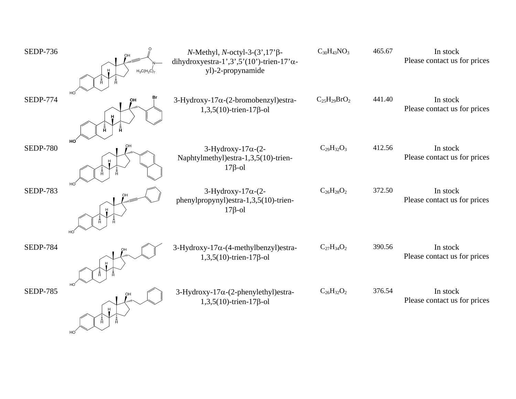| <b>SEDP-736</b> | $H_3C(H_2C)_7$     | $N$ -Methyl, $N$ -octyl-3- $(3', 17'$ $\beta$ -<br>dihydroxyestra-1',3',5'(10')-trien-17' $\alpha$ -<br>yl)-2-propynamide | $C_{30}H_{43}NO_3$  | 465.67 | In stock<br>Please contact us for prices |
|-----------------|--------------------|---------------------------------------------------------------------------------------------------------------------------|---------------------|--------|------------------------------------------|
| <b>SEDP-774</b> | OH<br>н<br>Ā.<br>Ā | 3-Hydroxy-17 $\alpha$ -(2-bromobenzyl) estra-<br>$1,3,5(10)$ -trien-17 $\beta$ -ol                                        | $C_{25}H_{29}BrO_2$ | 441.40 | In stock<br>Please contact us for prices |
| <b>SEDP-780</b> | HO<br>ŌН           | 3-Hydroxy-17 $\alpha$ -(2-<br>Naphtylmethyl)estra-1,3,5(10)-trien-<br>$17\beta$ -ol                                       | $C_{29}H_{32}O_3$   | 412.56 | In stock<br>Please contact us for prices |
| <b>SEDP-783</b> | HO<br>HO           | 3-Hydroxy-17 $\alpha$ -(2-<br>phenylpropynyl)estra-1,3,5(10)-trien-<br>$17\beta$ -ol                                      | $C_{26}H_{28}O_2$   | 372.50 | In stock<br>Please contact us for prices |
| <b>SEDP-784</b> |                    | 3-Hydroxy-17 $\alpha$ -(4-methylbenzyl) estra-<br>$1,3,5(10)$ -trien-17 $\beta$ -ol                                       | $C_{27}H_{34}O_2$   | 390.56 | In stock<br>Please contact us for prices |
| <b>SEDP-785</b> | HO                 | 3-Hydroxy-17α-(2-phenylethyl)estra-<br>$1,3,5(10)$ -trien-17 $\beta$ -ol                                                  | $C_{26}H_{32}O_2$   | 376.54 | In stock<br>Please contact us for prices |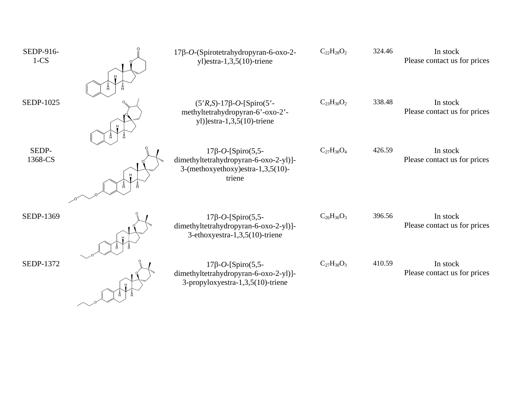| SEDP-916-<br>$1-CS$ | 17β-O-(Spirotetrahydropyran-6-oxo-2-<br>yl) estra- $1,3,5(10)$ -triene                                           | $C_{22}H_{28}O_2$ | 324.46 | In stock<br>Please contact us for prices |
|---------------------|------------------------------------------------------------------------------------------------------------------|-------------------|--------|------------------------------------------|
|                     |                                                                                                                  |                   |        |                                          |
| SEDP-1025           | $(5'R,S)$ -17 $\beta$ -O-[Spiro(5'-<br>methyltetrahydropyran-6'-oxo-2'-<br>yl)]estra-1,3,5(10)-triene            | $C_{23}H_{30}O_2$ | 338.48 | In stock<br>Please contact us for prices |
| SEDP-<br>1368-CS    | $17\beta$ -O-[Spiro(5,5-<br>dimethyltetrahydropyran-6-oxo-2-yl)]-<br>3-(methoxyethoxy)estra-1,3,5(10)-<br>triene | $C_{27}H_{38}O_4$ | 426.59 | In stock<br>Please contact us for prices |
| SEDP-1369           | $17\beta$ -O-[Spiro(5,5-<br>dimethyltetrahydropyran-6-oxo-2-yl)]-<br>3-ethoxyestra-1,3,5(10)-triene              | $C_{26}H_{36}O_3$ | 396.56 | In stock<br>Please contact us for prices |
| SEDP-1372           | $17\beta$ -O-[Spiro(5,5-<br>dimethyltetrahydropyran-6-oxo-2-yl)]-<br>3-propyloxyestra-1,3,5(10)-triene           | $C_{27}H_{38}O_3$ | 410.59 | In stock<br>Please contact us for prices |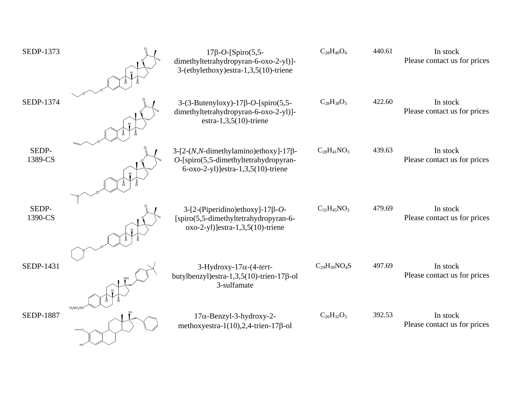| SEDP-1373        |             | $17\beta$ -O-[Spiro(5,5-<br>dimethyltetrahydropyran-6-oxo-2-yl)]-<br>3-(ethylethoxy)estra-1,3,5(10)-triene                                 | $C_{28}H_{40}O_4$   | 440.61 | In stock<br>Please contact us for prices |
|------------------|-------------|--------------------------------------------------------------------------------------------------------------------------------------------|---------------------|--------|------------------------------------------|
| <b>SEDP-1374</b> |             | $3-(3-Butenyboxy) - 17\beta - O$ -[spiro(5,5-<br>dimethyltetrahydropyran-6-oxo-2-yl)]-<br>estra-1,3,5 $(10)$ -triene                       | $C_{28}H_{38}O_3$   | 422.60 | In stock<br>Please contact us for prices |
| SEDP-<br>1389-CS |             | $3-[2-(N,N\text{-dimethylamino})\text{ethoxy}]-17\beta-$<br>$O$ -[spiro(5,5-dimethyltetrahydropyran-<br>6-oxo-2-yl)]estra-1,3,5(10)-triene | $C_{28}H_{41}NO_3$  | 439.63 | In stock<br>Please contact us for prices |
| SEDP-<br>1390-CS |             | $3-[2-(Piperidino)ethoxy]-17\beta-O-$<br>[spiro(5,5-dimethyltetrahydropyran-6-<br>$oxo-2-yl$ ) estra $-1,3,5(10)$ -triene                  | $C_{31}H_{45}NO_3$  | 479.69 | In stock<br>Please contact us for prices |
| SEDP-1431        |             | 3-Hydroxy-17 $\alpha$ -(4-tert-<br>butylbenzyl)estra-1,3,5(10)-trien-17 $\beta$ -ol<br>3-sulfamate                                         | $C_{29}H_{39}NO_4S$ | 497.69 | In stock<br>Please contact us for prices |
| <b>SEDP-1887</b> | $H_2NO_2SC$ | $17\alpha$ -Benzyl-3-hydroxy-2-<br>methoxyestra-1(10),2,4-trien-17 $\beta$ -ol                                                             | $C_{26}H_{32}O_3$   | 392.53 | In stock<br>Please contact us for prices |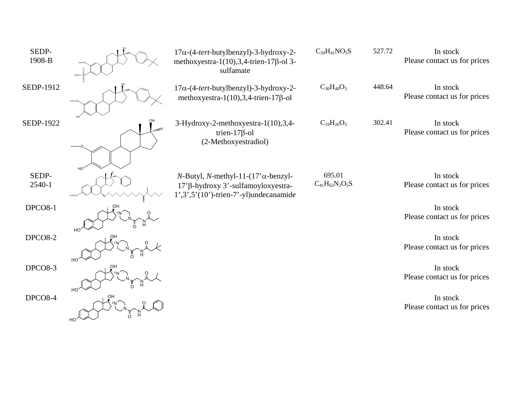| SEDP-<br>1908-B  |                             | $17\alpha$ -(4-tert-butylbenzyl)-3-hydroxy-2-<br>methoxyestra-1(10), 3, 4-trien-17 $\beta$ -ol 3-<br>sulfamate                      | $C_{30}H_{41}NO_5S$             | 527.72 | In stock<br>Please contact us for prices |
|------------------|-----------------------------|-------------------------------------------------------------------------------------------------------------------------------------|---------------------------------|--------|------------------------------------------|
| <b>SEDP-1912</b> |                             | 17α-(4-tert-butylbenzyl)-3-hydroxy-2-<br>methoxyestra-1(10), 3, 4-trien-17 $\beta$ -ol                                              | $C_{30}H_{40}O_3$               | 448.64 | In stock<br>Please contact us for prices |
| <b>SEDP-1922</b> | $H_{Hm}$                    | 3-Hydroxy-2-methoxyestra-1(10),3,4-<br>trien-17 $\beta$ -ol<br>(2-Methoxyestradiol)                                                 | $C_{19}H_{26}O_3$               | 302.41 | In stock<br>Please contact us for prices |
| SEDP-<br>2540-1  |                             | $N$ -Butyl, N-methyl-11-(17' $\alpha$ -benzyl-<br>17'β-hydroxy 3'-sulfamoyloxyestra-<br>$1', 3', 5'(10')$ -trien-7'-yl)undecanamide | 695.01<br>$C_{41}H_{62}N_2O_5S$ |        | In stock<br>Please contact us for prices |
| DPCO8-1          |                             |                                                                                                                                     |                                 |        | In stock<br>Please contact us for prices |
| DPCO8-2          | OH                          |                                                                                                                                     |                                 |        | In stock<br>Please contact us for prices |
| DPCO8-3          | HO <sup>'</sup><br>OH       |                                                                                                                                     |                                 |        | In stock<br>Please contact us for prices |
| DPCO8-4          | HO <sub>.</sub><br>OH<br>HO |                                                                                                                                     |                                 |        | In stock<br>Please contact us for prices |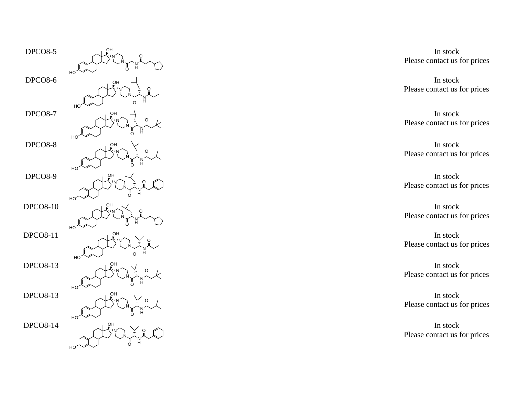

 In stock Please contact us for prices

> In stock Please contact us for prices

Please contact us for prices In stock

 Please contact us for prices In stock

 Please contact us for prices In stock

In stock Please contact us for prices

In stock Please contact us for prices

 In stock Please contact us for prices

 In stock Please contact us for prices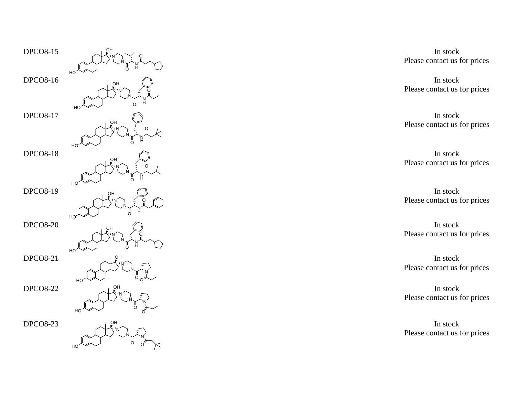

In stock Please contact us for prices

In stock Please contact us for prices

In stock Please contact us for prices

In stock Please contact us for prices

In stock Please contact us for prices

 In stock Please contact us for prices

 In stock Please contact us for prices

 In stock Please contact us for prices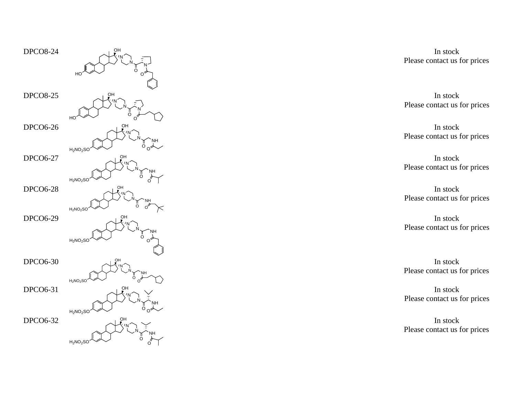

In stock Please contact us for prices

In stock Please contact us for prices

In stock Please contact us for prices

In stock Please contact us for prices

 In stock Please contact us for prices

> In stock Please contact us for prices

> Please contact us for prices In stock

> Please contact us for prices In stock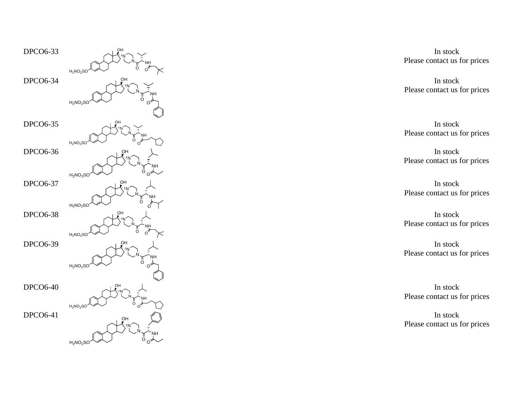

 In stock Please contact us for prices

> In stock Please contact us for prices

> In stock Please contact us for prices

> In stock Please contact us for prices

In stock Please contact us for prices

 In stock Please contact us for prices

In stock Please contact us for prices

 In stock Please contact us for prices